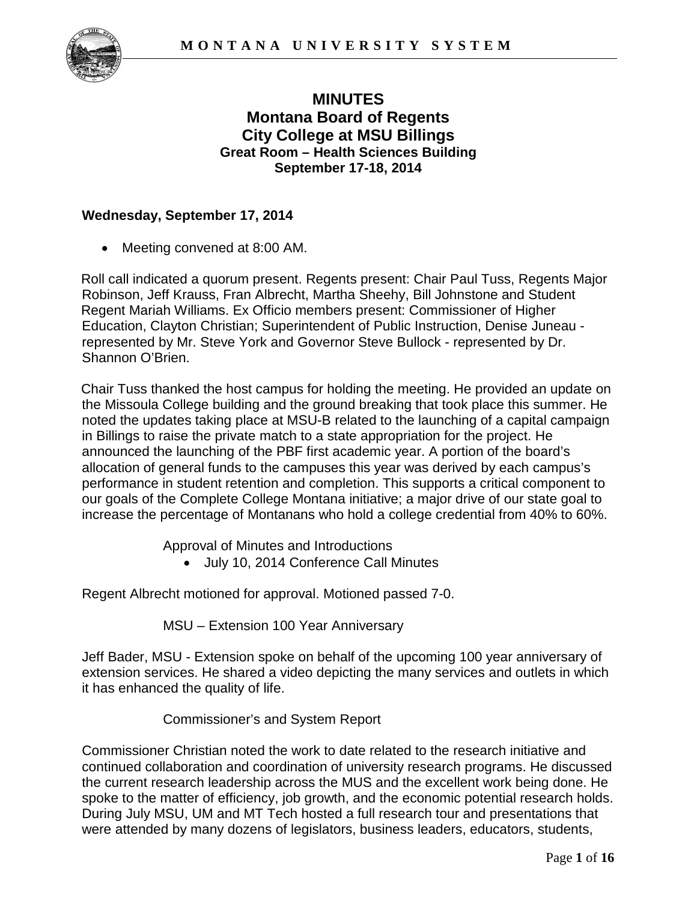

# **MINUTES Montana Board of Regents City College at MSU Billings Great Room – Health Sciences Building September 17-18, 2014**

## **Wednesday, September 17, 2014**

Meeting convened at 8:00 AM.

Roll call indicated a quorum present. Regents present: Chair Paul Tuss, Regents Major Robinson, Jeff Krauss, Fran Albrecht, Martha Sheehy, Bill Johnstone and Student Regent Mariah Williams. Ex Officio members present: Commissioner of Higher Education, Clayton Christian; Superintendent of Public Instruction, Denise Juneau represented by Mr. Steve York and Governor Steve Bullock - represented by Dr. Shannon O'Brien.

Chair Tuss thanked the host campus for holding the meeting. He provided an update on the Missoula College building and the ground breaking that took place this summer. He noted the updates taking place at MSU-B related to the launching of a capital campaign in Billings to raise the private match to a state appropriation for the project. He announced the launching of the PBF first academic year. A portion of the board's allocation of general funds to the campuses this year was derived by each campus's performance in student retention and completion. This supports a critical component to our goals of the Complete College Montana initiative; a major drive of our state goal to increase the percentage of Montanans who hold a college credential from 40% to 60%.

Approval of Minutes and Introductions

• July 10, 2014 Conference Call Minutes

Regent Albrecht motioned for approval. Motioned passed 7-0.

MSU – Extension 100 Year Anniversary

Jeff Bader, MSU - Extension spoke on behalf of the upcoming 100 year anniversary of extension services. He shared a video depicting the many services and outlets in which it has enhanced the quality of life.

Commissioner's and System Report

Commissioner Christian noted the work to date related to the research initiative and continued collaboration and coordination of university research programs. He discussed the current research leadership across the MUS and the excellent work being done. He spoke to the matter of efficiency, job growth, and the economic potential research holds. During July MSU, UM and MT Tech hosted a full research tour and presentations that were attended by many dozens of legislators, business leaders, educators, students,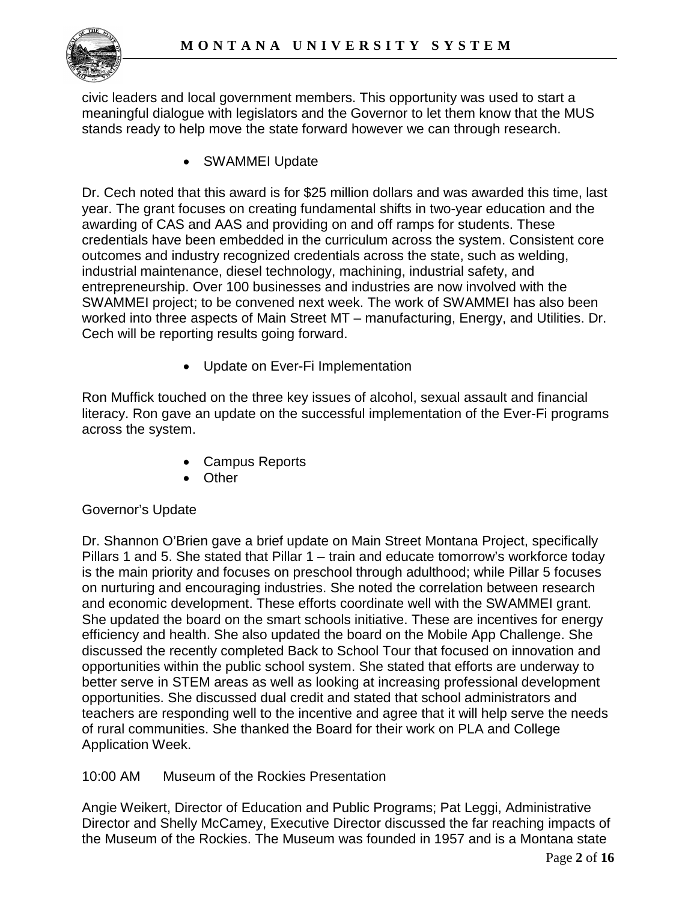

civic leaders and local government members. This opportunity was used to start a meaningful dialogue with legislators and the Governor to let them know that the MUS stands ready to help move the state forward however we can through research.

• SWAMMEI Update

Dr. Cech noted that this award is for \$25 million dollars and was awarded this time, last year. The grant focuses on creating fundamental shifts in two-year education and the awarding of CAS and AAS and providing on and off ramps for students. These credentials have been embedded in the curriculum across the system. Consistent core outcomes and industry recognized credentials across the state, such as welding, industrial maintenance, diesel technology, machining, industrial safety, and entrepreneurship. Over 100 businesses and industries are now involved with the SWAMMEI project; to be convened next week. The work of SWAMMEI has also been worked into three aspects of Main Street MT – manufacturing, Energy, and Utilities. Dr. Cech will be reporting results going forward.

• Update on Ever-Fi Implementation

Ron Muffick touched on the three key issues of alcohol, sexual assault and financial literacy. Ron gave an update on the successful implementation of the Ever-Fi programs across the system.

- Campus Reports
- Other

## Governor's Update

Dr. Shannon O'Brien gave a brief update on Main Street Montana Project, specifically Pillars 1 and 5. She stated that Pillar 1 – train and educate tomorrow's workforce today is the main priority and focuses on preschool through adulthood; while Pillar 5 focuses on nurturing and encouraging industries. She noted the correlation between research and economic development. These efforts coordinate well with the SWAMMEI grant. She updated the board on the smart schools initiative. These are incentives for energy efficiency and health. She also updated the board on the Mobile App Challenge. She discussed the recently completed Back to School Tour that focused on innovation and opportunities within the public school system. She stated that efforts are underway to better serve in STEM areas as well as looking at increasing professional development opportunities. She discussed dual credit and stated that school administrators and teachers are responding well to the incentive and agree that it will help serve the needs of rural communities. She thanked the Board for their work on PLA and College Application Week.

10:00 AM Museum of the Rockies Presentation

Angie Weikert, Director of Education and Public Programs; Pat Leggi, Administrative Director and Shelly McCamey, Executive Director discussed the far reaching impacts of the Museum of the Rockies. The Museum was founded in 1957 and is a Montana state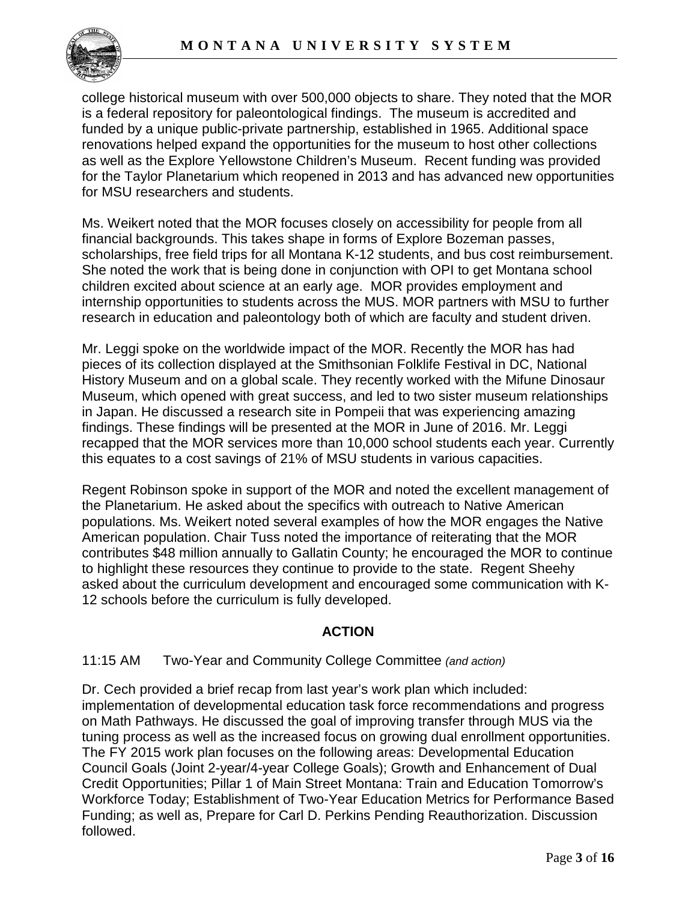

college historical museum with over 500,000 objects to share. They noted that the MOR is a federal repository for paleontological findings. The museum is accredited and funded by a unique public-private partnership, established in 1965. Additional space renovations helped expand the opportunities for the museum to host other collections as well as the Explore Yellowstone Children's Museum. Recent funding was provided for the Taylor Planetarium which reopened in 2013 and has advanced new opportunities for MSU researchers and students.

Ms. Weikert noted that the MOR focuses closely on accessibility for people from all financial backgrounds. This takes shape in forms of Explore Bozeman passes, scholarships, free field trips for all Montana K-12 students, and bus cost reimbursement. She noted the work that is being done in conjunction with OPI to get Montana school children excited about science at an early age. MOR provides employment and internship opportunities to students across the MUS. MOR partners with MSU to further research in education and paleontology both of which are faculty and student driven.

Mr. Leggi spoke on the worldwide impact of the MOR. Recently the MOR has had pieces of its collection displayed at the Smithsonian Folklife Festival in DC, National History Museum and on a global scale. They recently worked with the Mifune Dinosaur Museum, which opened with great success, and led to two sister museum relationships in Japan. He discussed a research site in Pompeii that was experiencing amazing findings. These findings will be presented at the MOR in June of 2016. Mr. Leggi recapped that the MOR services more than 10,000 school students each year. Currently this equates to a cost savings of 21% of MSU students in various capacities.

Regent Robinson spoke in support of the MOR and noted the excellent management of the Planetarium. He asked about the specifics with outreach to Native American populations. Ms. Weikert noted several examples of how the MOR engages the Native American population. Chair Tuss noted the importance of reiterating that the MOR contributes \$48 million annually to Gallatin County; he encouraged the MOR to continue to highlight these resources they continue to provide to the state. Regent Sheehy asked about the curriculum development and encouraged some communication with K-12 schools before the curriculum is fully developed.

# **ACTION**

## 11:15 AM Two-Year and Community College Committee *(and action)*

Dr. Cech provided a brief recap from last year's work plan which included: implementation of developmental education task force recommendations and progress on Math Pathways. He discussed the goal of improving transfer through MUS via the tuning process as well as the increased focus on growing dual enrollment opportunities. The FY 2015 work plan focuses on the following areas: Developmental Education Council Goals (Joint 2-year/4-year College Goals); Growth and Enhancement of Dual Credit Opportunities; Pillar 1 of Main Street Montana: Train and Education Tomorrow's Workforce Today; Establishment of Two-Year Education Metrics for Performance Based Funding; as well as, Prepare for Carl D. Perkins Pending Reauthorization. Discussion followed.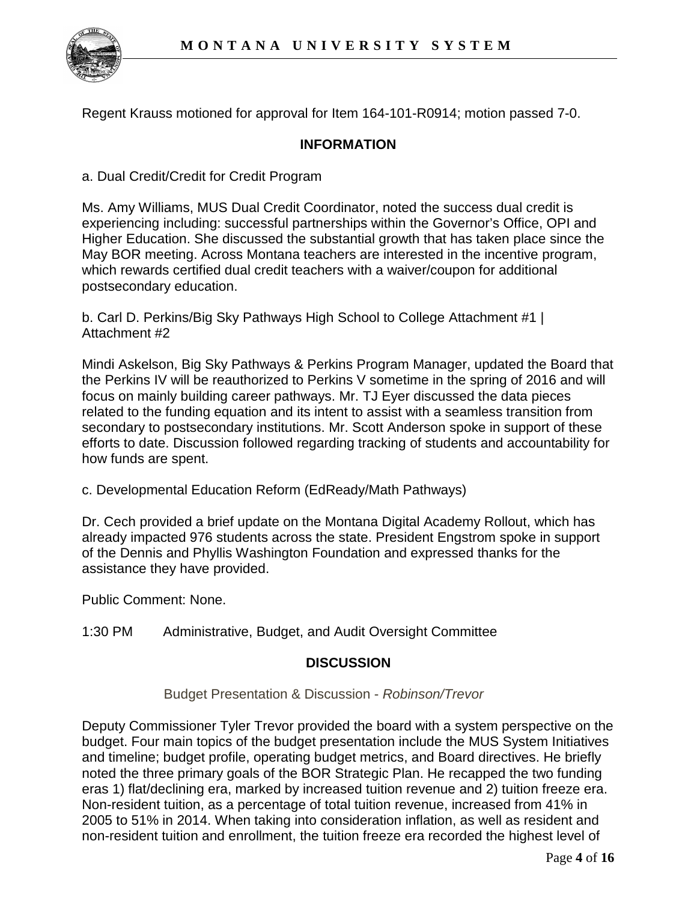

Regent Krauss motioned for approval for Item 164-101-R0914; motion passed 7-0.

## **INFORMATION**

a. Dual Credit/Credit for Credit Program

Ms. Amy Williams, MUS Dual Credit Coordinator, noted the success dual credit is experiencing including: successful partnerships within the Governor's Office, OPI and Higher Education. She discussed the substantial growth that has taken place since the May BOR meeting. Across Montana teachers are interested in the incentive program, which rewards certified dual credit teachers with a waiver/coupon for additional postsecondary education.

b. Carl D. Perkins/Big Sky Pathways High School to College Attachment #1 | Attachment #2

Mindi Askelson, Big Sky Pathways & Perkins Program Manager, updated the Board that the Perkins IV will be reauthorized to Perkins V sometime in the spring of 2016 and will focus on mainly building career pathways. Mr. TJ Eyer discussed the data pieces related to the funding equation and its intent to assist with a seamless transition from secondary to postsecondary institutions. Mr. Scott Anderson spoke in support of these efforts to date. Discussion followed regarding tracking of students and accountability for how funds are spent.

c. Developmental Education Reform (EdReady/Math Pathways)

Dr. Cech provided a brief update on the Montana Digital Academy Rollout, which has already impacted 976 students across the state. President Engstrom spoke in support of the Dennis and Phyllis Washington Foundation and expressed thanks for the assistance they have provided.

Public Comment: None.

1:30 PM Administrative, Budget, and Audit Oversight Committee

## **DISCUSSION**

Budget Presentation & Discussion - *Robinson/Trevor*

Deputy Commissioner Tyler Trevor provided the board with a system perspective on the budget. Four main topics of the budget presentation include the MUS System Initiatives and timeline; budget profile, operating budget metrics, and Board directives. He briefly noted the three primary goals of the BOR Strategic Plan. He recapped the two funding eras 1) flat/declining era, marked by increased tuition revenue and 2) tuition freeze era. Non-resident tuition, as a percentage of total tuition revenue, increased from 41% in 2005 to 51% in 2014. When taking into consideration inflation, as well as resident and non-resident tuition and enrollment, the tuition freeze era recorded the highest level of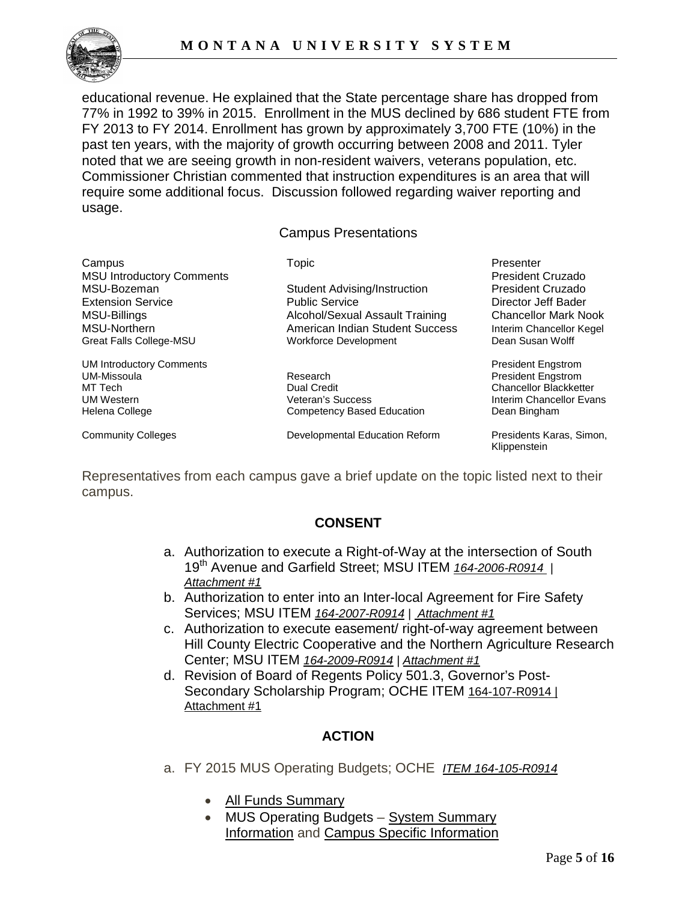

educational revenue. He explained that the State percentage share has dropped from 77% in 1992 to 39% in 2015. Enrollment in the MUS declined by 686 student FTE from FY 2013 to FY 2014. Enrollment has grown by approximately 3,700 FTE (10%) in the past ten years, with the majority of growth occurring between 2008 and 2011. Tyler noted that we are seeing growth in non-resident waivers, veterans population, etc. Commissioner Christian commented that instruction expenditures is an area that will require some additional focus. Discussion followed regarding waiver reporting and usage.

Campus Presentations

Campus Topic Presenter MSU Introductory Comments<br>
MSU-Bozeman Student Advising/Instruction President Cruzado MSU-Bozeman Student Advising/Instruction

UM Introductory Comments<br>
UM-Missoula President Engstrom<br>
President Engstrom

Extension Service **Network** Public Service **Director Director Jeff Bader** MSU-Billings **Alcohol/Sexual Assault Training** Chancellor Mark Nook Chancellor Mark Nook MSU-Northern **American Indian Student Success** Interim Chancellor Kegel Great Falls College-MSU **Workforce Development** Dean Susan Wolff

MT Tech **Chancellor Blackketter** Chancellor Blackketter Chancellor Blackketter UM Western **Interim Chancellor Evans**<br>
Helena College **Interim Competence Competency Based Education Interim Chancellor Evans** Competency Based Education

Community Colleges **Developmental Education Reform** Presidents Karas, Simon,

**President Engstrom** 

Klippenstein

Representatives from each campus gave a brief update on the topic listed next to their campus.

# **CONSENT**

- a. Authorization to execute a Right-of-Way at the intersection of South 19th Avenue and Garfield Street; MSU ITEM *164-2006-R0914 | Attachment #1*
- b. Authorization to enter into an Inter-local Agreement for Fire Safety Services; MSU ITEM *164-2007-R0914 | Attachment #1*
- c. Authorization to execute easement/ right-of-way agreement between Hill County Electric Cooperative and the Northern Agriculture Research Center; MSU ITEM *164-2009-R0914 | Attachment #1*
- d. Revision of Board of Regents Policy 501.3, Governor's Post-Secondary Scholarship Program; OCHE ITEM 164-107-R0914 | Attachment #1

# **ACTION**

- a. FY 2015 MUS Operating Budgets; OCHE *ITEM 164-105-R0914* 
	- [All Funds Summary](http://mus.edu/board/meetings/2013/Sept2013/AdminBudget/AllFundsSummary.pdf)
	- MUS Operating Budgets System Summary [Information](http://mus.edu/board/meetings/2013/Sept2013/AdminBudget/MUSSummary.pdf) and [Campus Specific Information](http://mus.edu/board/meetings/2013/Sept2013/AdminBudget/FY14-OperatingBudgets.asp)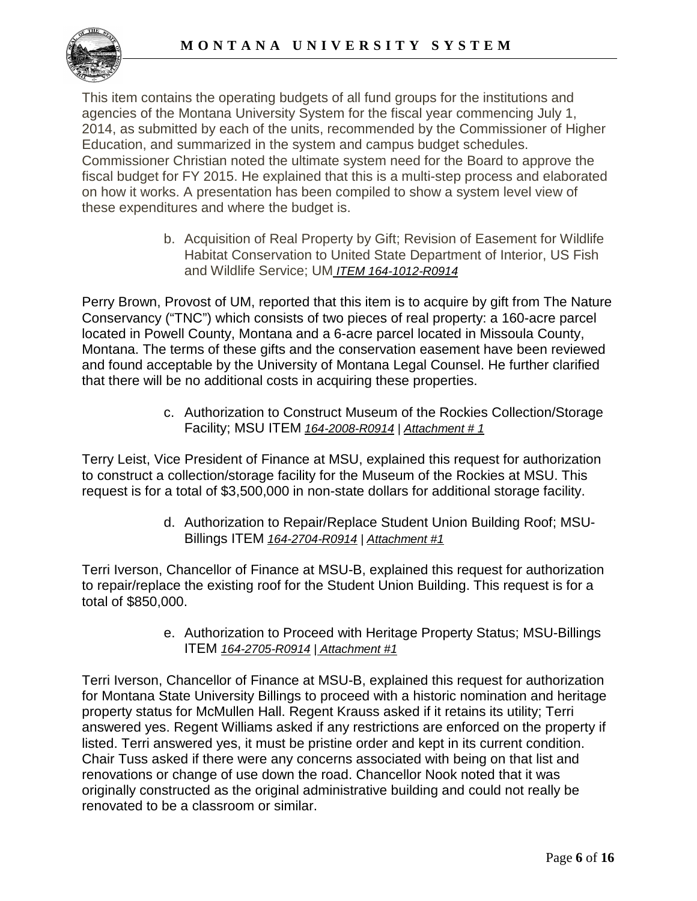

This item contains the operating budgets of all fund groups for the institutions and agencies of the Montana University System for the fiscal year commencing July 1, 2014, as submitted by each of the units, recommended by the Commissioner of Higher Education, and summarized in the system and campus budget schedules. Commissioner Christian noted the ultimate system need for the Board to approve the fiscal budget for FY 2015. He explained that this is a multi-step process and elaborated on how it works. A presentation has been compiled to show a system level view of these expenditures and where the budget is.

> b. Acquisition of Real Property by Gift; Revision of Easement for Wildlife Habitat Conservation to United State Department of Interior, US Fish and Wildlife Service; UM *ITEM 164-1012-R0914*

Perry Brown, Provost of UM, reported that this item is to acquire by gift from The Nature Conservancy ("TNC") which consists of two pieces of real property: a 160-acre parcel located in Powell County, Montana and a 6-acre parcel located in Missoula County, Montana. The terms of these gifts and the conservation easement have been reviewed and found acceptable by the University of Montana Legal Counsel. He further clarified that there will be no additional costs in acquiring these properties.

> c. Authorization to Construct Museum of the Rockies Collection/Storage Facility; MSU ITEM *164-2008-R0914 | Attachment # 1*

Terry Leist, Vice President of Finance at MSU, explained this request for authorization to construct a collection/storage facility for the Museum of the Rockies at MSU. This request is for a total of \$3,500,000 in non-state dollars for additional storage facility.

> d. Authorization to Repair/Replace Student Union Building Roof; MSU-Billings ITEM *164-2704-R0914 | Attachment #1*

Terri Iverson, Chancellor of Finance at MSU-B, explained this request for authorization to repair/replace the existing roof for the Student Union Building. This request is for a total of \$850,000.

> e. Authorization to Proceed with Heritage Property Status; MSU-Billings ITEM *164-2705-R0914* | *Attachment #1*

Terri Iverson, Chancellor of Finance at MSU-B, explained this request for authorization for Montana State University Billings to proceed with a historic nomination and heritage property status for McMullen Hall. Regent Krauss asked if it retains its utility; Terri answered yes. Regent Williams asked if any restrictions are enforced on the property if listed. Terri answered yes, it must be pristine order and kept in its current condition. Chair Tuss asked if there were any concerns associated with being on that list and renovations or change of use down the road. Chancellor Nook noted that it was originally constructed as the original administrative building and could not really be renovated to be a classroom or similar.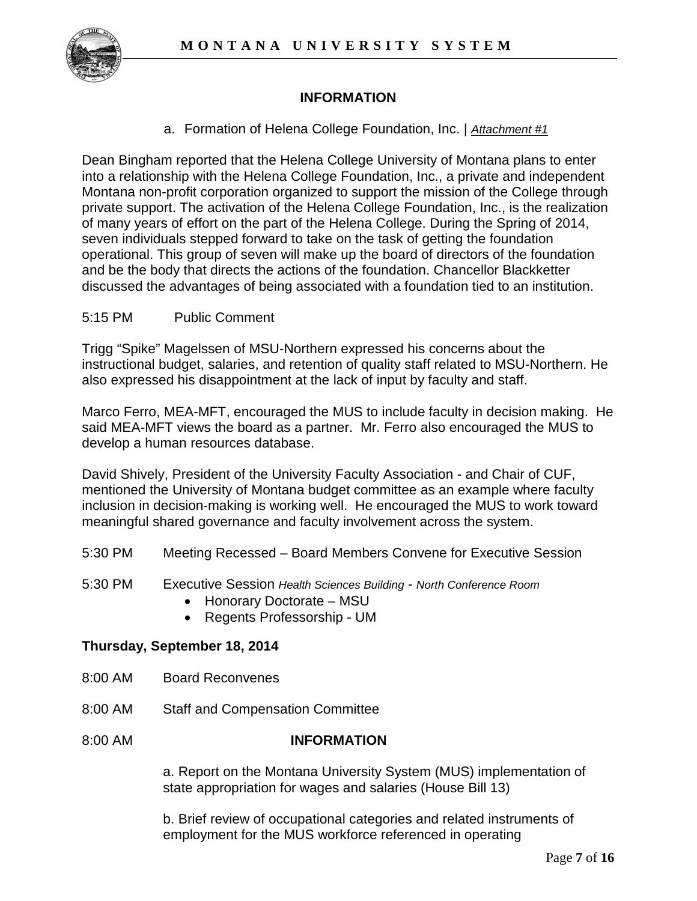

# **INFORMATION**

a. Formation of Helena College Foundation, Inc. | *Attachment #1*

Dean Bingham reported that the Helena College University of Montana plans to enter into a relationship with the Helena College Foundation, Inc., a private and independent Montana non-profit corporation organized to support the mission of the College through private support. The activation of the Helena College Foundation, Inc., is the realization of many years of effort on the part of the Helena College. During the Spring of 2014, seven individuals stepped forward to take on the task of getting the foundation operational. This group of seven will make up the board of directors of the foundation and be the body that directs the actions of the foundation. Chancellor Blackketter discussed the advantages of being associated with a foundation tied to an institution.

## 5:15 PM Public Comment

Trigg "Spike" Magelssen of MSU-Northern expressed his concerns about the instructional budget, salaries, and retention of quality staff related to MSU-Northern. He also expressed his disappointment at the lack of input by faculty and staff.

Marco Ferro, MEA-MFT, encouraged the MUS to include faculty in decision making. He said MEA-MFT views the board as a partner. Mr. Ferro also encouraged the MUS to develop a human resources database.

David Shively, President of the University Faculty Association - and Chair of CUF, mentioned the University of Montana budget committee as an example where faculty inclusion in decision-making is working well. He encouraged the MUS to work toward meaningful shared governance and faculty involvement across the system.

- 5:30 PM Meeting Recessed Board Members Convene for Executive Session
- 5:30 PM Executive Session *Health Sciences Building North Conference Room*
	- Honorary Doctorate MSU
	- Regents Professorship UM

## **Thursday, September 18, 2014**

- 8:00 AM Board Reconvenes
- 8:00 AM Staff and Compensation Committee
- 8:00 AM **INFORMATION**

a. Report on the Montana University System (MUS) implementation of state appropriation for wages and salaries (House Bill 13)

b. Brief review of occupational categories and related instruments of employment for the MUS workforce referenced in operating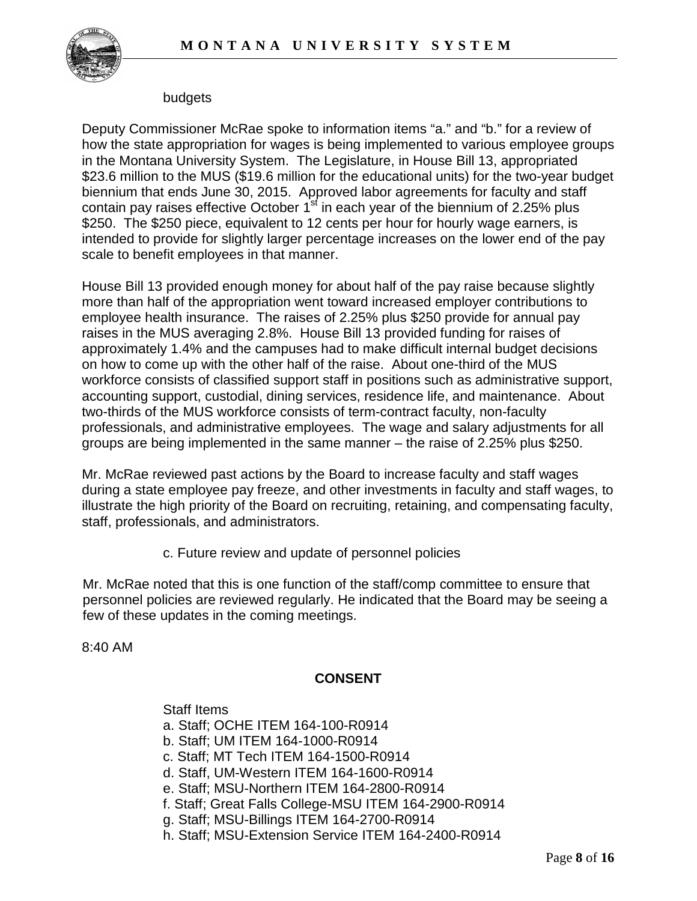

#### budgets

Deputy Commissioner McRae spoke to information items "a." and "b." for a review of how the state appropriation for wages is being implemented to various employee groups in the Montana University System. The Legislature, in House Bill 13, appropriated \$23.6 million to the MUS (\$19.6 million for the educational units) for the two-year budget biennium that ends June 30, 2015. Approved labor agreements for faculty and staff contain pay raises effective October  $1<sup>st</sup>$  in each year of the biennium of 2.25% plus \$250. The \$250 piece, equivalent to 12 cents per hour for hourly wage earners, is intended to provide for slightly larger percentage increases on the lower end of the pay scale to benefit employees in that manner.

House Bill 13 provided enough money for about half of the pay raise because slightly more than half of the appropriation went toward increased employer contributions to employee health insurance. The raises of 2.25% plus \$250 provide for annual pay raises in the MUS averaging 2.8%. House Bill 13 provided funding for raises of approximately 1.4% and the campuses had to make difficult internal budget decisions on how to come up with the other half of the raise. About one-third of the MUS workforce consists of classified support staff in positions such as administrative support, accounting support, custodial, dining services, residence life, and maintenance. About two-thirds of the MUS workforce consists of term-contract faculty, non-faculty professionals, and administrative employees. The wage and salary adjustments for all groups are being implemented in the same manner – the raise of 2.25% plus \$250.

Mr. McRae reviewed past actions by the Board to increase faculty and staff wages during a state employee pay freeze, and other investments in faculty and staff wages, to illustrate the high priority of the Board on recruiting, retaining, and compensating faculty, staff, professionals, and administrators.

c. Future review and update of personnel policies

Mr. McRae noted that this is one function of the staff/comp committee to ensure that personnel policies are reviewed regularly. He indicated that the Board may be seeing a few of these updates in the coming meetings.

8:40 AM

# **CONSENT**

Staff Items a. Staff; OCHE ITEM 164-100-R0914 b. Staff; UM ITEM 164-1000-R0914 c. Staff; MT Tech ITEM 164-1500-R0914 d. Staff, UM-Western ITEM 164-1600-R0914 e. Staff; MSU-Northern ITEM 164-2800-R0914 f. Staff; Great Falls College-MSU ITEM 164-2900-R0914 g. Staff; MSU-Billings ITEM 164-2700-R0914 h. Staff; MSU-Extension Service ITEM 164-2400-R0914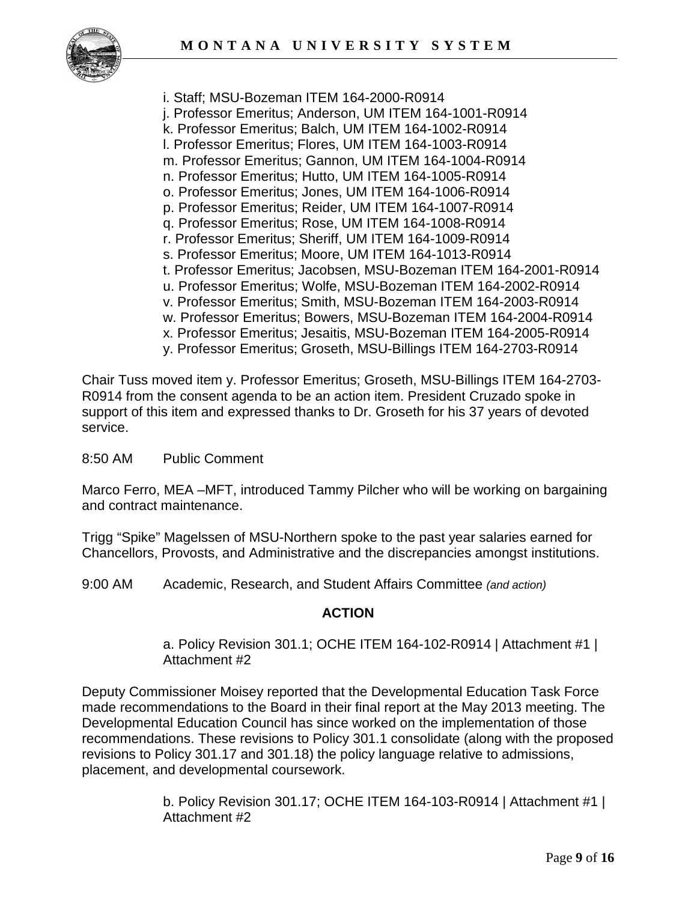

i. Staff; MSU-Bozeman ITEM 164-2000-R0914 j. Professor Emeritus; Anderson, UM ITEM 164-1001-R0914 k. Professor Emeritus; Balch, UM ITEM 164-1002-R0914 l. Professor Emeritus; Flores, UM ITEM 164-1003-R0914 m. Professor Emeritus; Gannon, UM ITEM 164-1004-R0914 n. Professor Emeritus; Hutto, UM ITEM 164-1005-R0914 o. Professor Emeritus; Jones, UM ITEM 164-1006-R0914 p. Professor Emeritus; Reider, UM ITEM 164-1007-R0914 q. Professor Emeritus; Rose, UM ITEM 164-1008-R0914 r. Professor Emeritus; Sheriff, UM ITEM 164-1009-R0914 s. Professor Emeritus; Moore, UM ITEM 164-1013-R0914 t. Professor Emeritus; Jacobsen, MSU-Bozeman ITEM 164-2001-R0914 u. Professor Emeritus; Wolfe, MSU-Bozeman ITEM 164-2002-R0914 v. Professor Emeritus; Smith, MSU-Bozeman ITEM 164-2003-R0914 w. Professor Emeritus; Bowers, MSU-Bozeman ITEM 164-2004-R0914 x. Professor Emeritus; Jesaitis, MSU-Bozeman ITEM 164-2005-R0914 y. Professor Emeritus; Groseth, MSU-Billings ITEM 164-2703-R0914

Chair Tuss moved item y. Professor Emeritus; Groseth, MSU-Billings ITEM 164-2703- R0914 from the consent agenda to be an action item. President Cruzado spoke in support of this item and expressed thanks to Dr. Groseth for his 37 years of devoted service.

#### 8:50 AM Public Comment

Marco Ferro, MEA –MFT, introduced Tammy Pilcher who will be working on bargaining and contract maintenance.

Trigg "Spike" Magelssen of MSU-Northern spoke to the past year salaries earned for Chancellors, Provosts, and Administrative and the discrepancies amongst institutions.

9:00 AM Academic, Research, and Student Affairs Committee *(and action)*

#### **ACTION**

a. Policy Revision 301.1; OCHE ITEM 164-102-R0914 | Attachment #1 | Attachment #2

Deputy Commissioner Moisey reported that the Developmental Education Task Force made recommendations to the Board in their final report at the May 2013 meeting. The Developmental Education Council has since worked on the implementation of those recommendations. These revisions to Policy 301.1 consolidate (along with the proposed revisions to Policy 301.17 and 301.18) the policy language relative to admissions, placement, and developmental coursework.

> b. Policy Revision 301.17; OCHE ITEM 164-103-R0914 | Attachment #1 | Attachment #2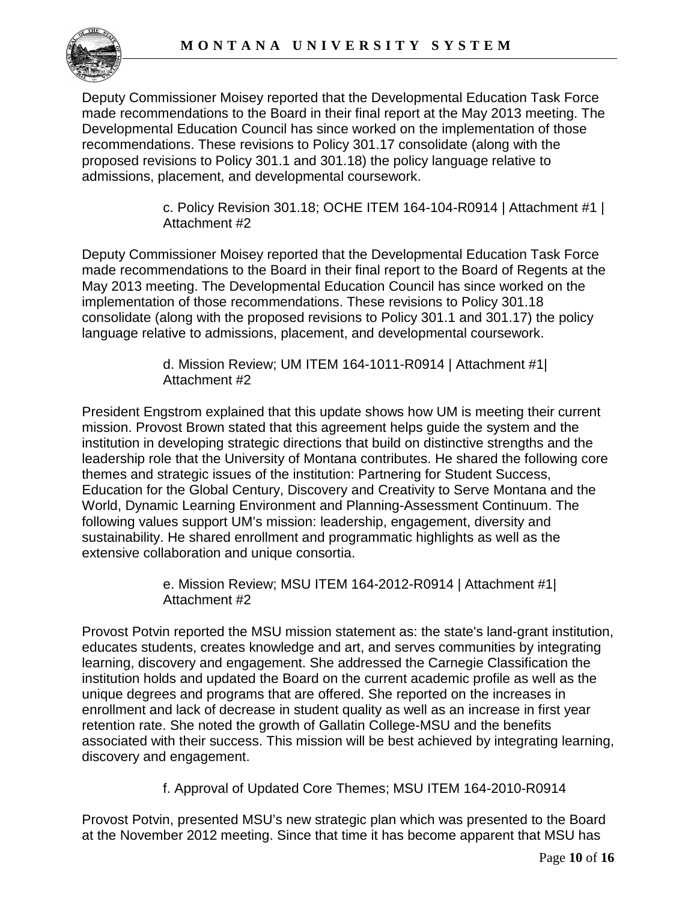

Deputy Commissioner Moisey reported that the Developmental Education Task Force made recommendations to the Board in their final report at the May 2013 meeting. The Developmental Education Council has since worked on the implementation of those recommendations. These revisions to Policy 301.17 consolidate (along with the proposed revisions to Policy 301.1 and 301.18) the policy language relative to admissions, placement, and developmental coursework.

> c. Policy Revision 301.18; OCHE ITEM 164-104-R0914 | Attachment #1 | Attachment #2

Deputy Commissioner Moisey reported that the Developmental Education Task Force made recommendations to the Board in their final report to the Board of Regents at the May 2013 meeting. The Developmental Education Council has since worked on the implementation of those recommendations. These revisions to Policy 301.18 consolidate (along with the proposed revisions to Policy 301.1 and 301.17) the policy language relative to admissions, placement, and developmental coursework.

> d. Mission Review; UM ITEM 164-1011-R0914 | Attachment #1| Attachment #2

President Engstrom explained that this update shows how UM is meeting their current mission. Provost Brown stated that this agreement helps guide the system and the institution in developing strategic directions that build on distinctive strengths and the leadership role that the University of Montana contributes. He shared the following core themes and strategic issues of the institution: Partnering for Student Success, Education for the Global Century, Discovery and Creativity to Serve Montana and the World, Dynamic Learning Environment and Planning-Assessment Continuum. The following values support UM's mission: leadership, engagement, diversity and sustainability. He shared enrollment and programmatic highlights as well as the extensive collaboration and unique consortia.

> e. Mission Review; MSU ITEM 164-2012-R0914 | Attachment #1| Attachment #2

Provost Potvin reported the MSU mission statement as: the state's land-grant institution, educates students, creates knowledge and art, and serves communities by integrating learning, discovery and engagement. She addressed the Carnegie Classification the institution holds and updated the Board on the current academic profile as well as the unique degrees and programs that are offered. She reported on the increases in enrollment and lack of decrease in student quality as well as an increase in first year retention rate. She noted the growth of Gallatin College-MSU and the benefits associated with their success. This mission will be best achieved by integrating learning, discovery and engagement.

f. Approval of Updated Core Themes; MSU ITEM 164-2010-R0914

Provost Potvin, presented MSU's new strategic plan which was presented to the Board at the November 2012 meeting. Since that time it has become apparent that MSU has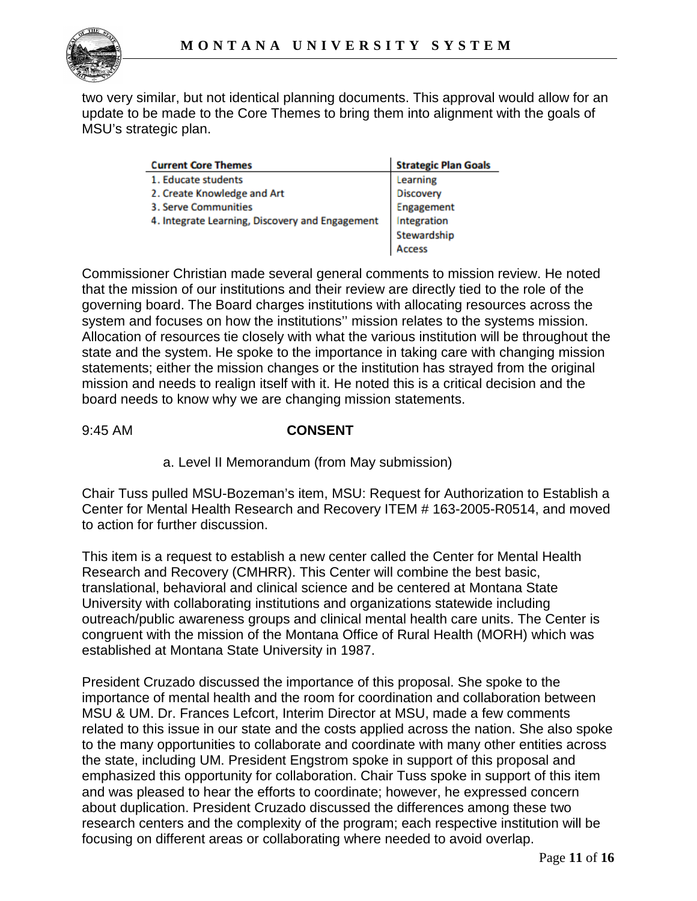two very similar, but not identical planning documents. This approval would allow for an update to be made to the Core Themes to bring them into alignment with the goals of MSU's strategic plan.

| <b>Current Core Themes</b>                      | <b>Strategic Plan Goals</b> |
|-------------------------------------------------|-----------------------------|
| 1. Educate students                             | Learning                    |
| 2. Create Knowledge and Art                     | <b>Discovery</b>            |
| 3. Serve Communities                            | Engagement                  |
| 4. Integrate Learning, Discovery and Engagement | Integration                 |
|                                                 | Stewardship                 |
|                                                 | Access                      |

Commissioner Christian made several general comments to mission review. He noted that the mission of our institutions and their review are directly tied to the role of the governing board. The Board charges institutions with allocating resources across the system and focuses on how the institutions'' mission relates to the systems mission. Allocation of resources tie closely with what the various institution will be throughout the state and the system. He spoke to the importance in taking care with changing mission statements; either the mission changes or the institution has strayed from the original mission and needs to realign itself with it. He noted this is a critical decision and the board needs to know why we are changing mission statements.

## 9:45 AM **CONSENT**

a. Level II Memorandum (from May submission)

Chair Tuss pulled MSU-Bozeman's item, MSU: Request for Authorization to Establish a Center for Mental Health Research and Recovery ITEM # 163-2005-R0514, and moved to action for further discussion.

This item is a request to establish a new center called the Center for Mental Health Research and Recovery (CMHRR). This Center will combine the best basic, translational, behavioral and clinical science and be centered at Montana State University with collaborating institutions and organizations statewide including outreach/public awareness groups and clinical mental health care units. The Center is congruent with the mission of the Montana Office of Rural Health (MORH) which was established at Montana State University in 1987.

President Cruzado discussed the importance of this proposal. She spoke to the importance of mental health and the room for coordination and collaboration between MSU & UM. Dr. Frances Lefcort, Interim Director at MSU, made a few comments related to this issue in our state and the costs applied across the nation. She also spoke to the many opportunities to collaborate and coordinate with many other entities across the state, including UM. President Engstrom spoke in support of this proposal and emphasized this opportunity for collaboration. Chair Tuss spoke in support of this item and was pleased to hear the efforts to coordinate; however, he expressed concern about duplication. President Cruzado discussed the differences among these two research centers and the complexity of the program; each respective institution will be focusing on different areas or collaborating where needed to avoid overlap.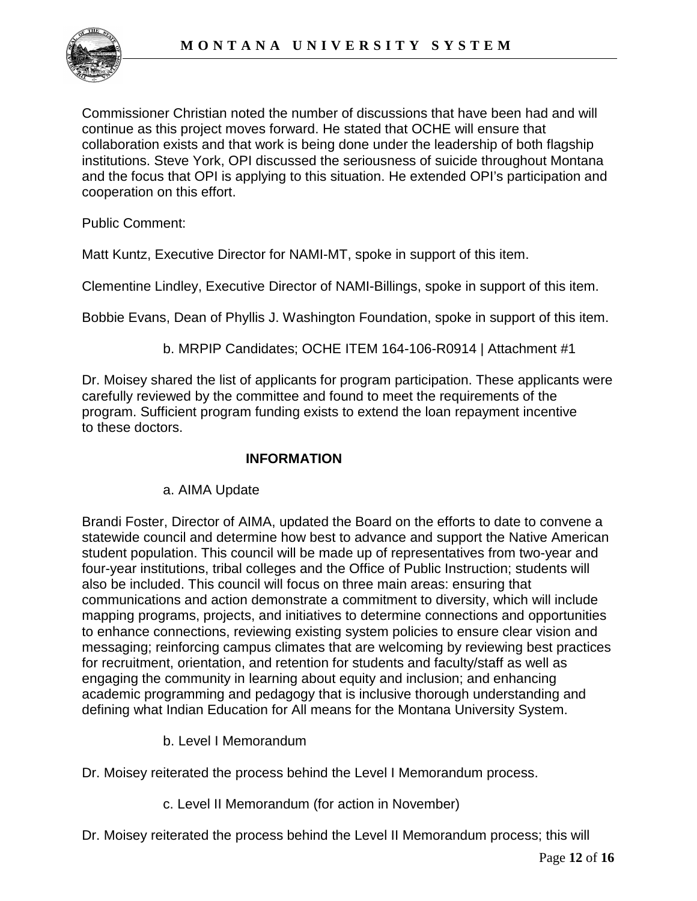

Commissioner Christian noted the number of discussions that have been had and will continue as this project moves forward. He stated that OCHE will ensure that collaboration exists and that work is being done under the leadership of both flagship institutions. Steve York, OPI discussed the seriousness of suicide throughout Montana and the focus that OPI is applying to this situation. He extended OPI's participation and cooperation on this effort.

Public Comment:

Matt Kuntz, Executive Director for NAMI-MT, spoke in support of this item.

Clementine Lindley, Executive Director of NAMI-Billings, spoke in support of this item.

Bobbie Evans, Dean of Phyllis J. Washington Foundation, spoke in support of this item.

b. MRPIP Candidates; OCHE ITEM 164-106-R0914 | Attachment #1

Dr. Moisey shared the list of applicants for program participation. These applicants were carefully reviewed by the committee and found to meet the requirements of the program. Sufficient program funding exists to extend the loan repayment incentive to these doctors.

## **INFORMATION**

## a. AIMA Update

Brandi Foster, Director of AIMA, updated the Board on the efforts to date to convene a statewide council and determine how best to advance and support the Native American student population. This council will be made up of representatives from two-year and four-year institutions, tribal colleges and the Office of Public Instruction; students will also be included. This council will focus on three main areas: ensuring that communications and action demonstrate a commitment to diversity, which will include mapping programs, projects, and initiatives to determine connections and opportunities to enhance connections, reviewing existing system policies to ensure clear vision and messaging; reinforcing campus climates that are welcoming by reviewing best practices for recruitment, orientation, and retention for students and faculty/staff as well as engaging the community in learning about equity and inclusion; and enhancing academic programming and pedagogy that is inclusive thorough understanding and defining what Indian Education for All means for the Montana University System.

b. Level I Memorandum

Dr. Moisey reiterated the process behind the Level I Memorandum process.

c. Level II Memorandum (for action in November)

Dr. Moisey reiterated the process behind the Level II Memorandum process; this will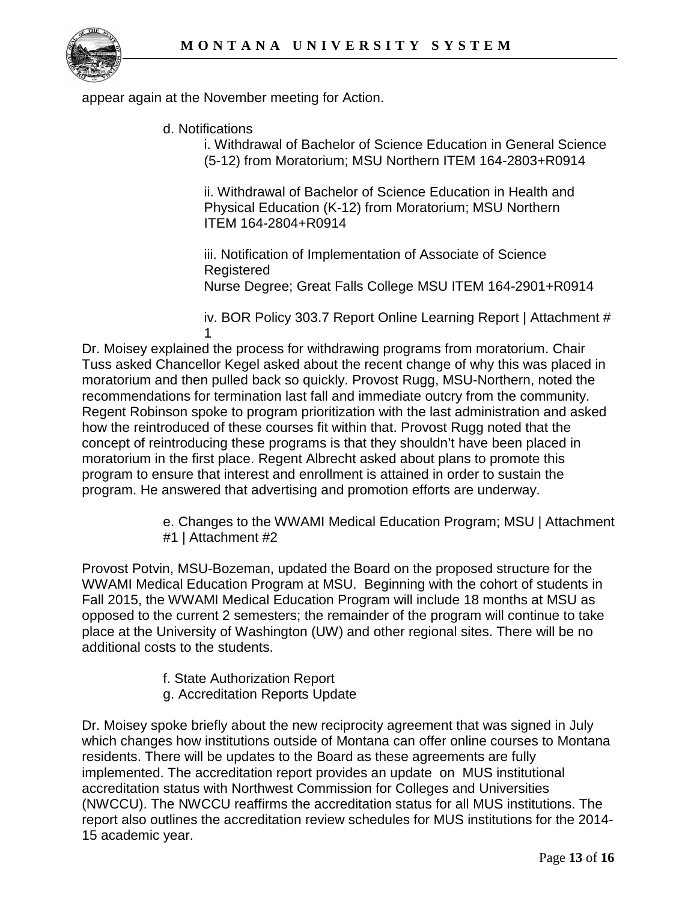

appear again at the November meeting for Action.

d. Notifications

i. Withdrawal of Bachelor of Science Education in General Science (5-12) from Moratorium; MSU Northern ITEM 164-2803+R0914

ii. Withdrawal of Bachelor of Science Education in Health and Physical Education (K-12) from Moratorium; MSU Northern ITEM 164-2804+R0914

iii. Notification of Implementation of Associate of Science **Registered** Nurse Degree; Great Falls College MSU ITEM 164-2901+R0914

iv. BOR Policy 303.7 Report Online Learning Report | Attachment # 1

Dr. Moisey explained the process for withdrawing programs from moratorium. Chair Tuss asked Chancellor Kegel asked about the recent change of why this was placed in moratorium and then pulled back so quickly. Provost Rugg, MSU-Northern, noted the recommendations for termination last fall and immediate outcry from the community. Regent Robinson spoke to program prioritization with the last administration and asked how the reintroduced of these courses fit within that. Provost Rugg noted that the concept of reintroducing these programs is that they shouldn't have been placed in moratorium in the first place. Regent Albrecht asked about plans to promote this program to ensure that interest and enrollment is attained in order to sustain the program. He answered that advertising and promotion efforts are underway.

> e. Changes to the WWAMI Medical Education Program; MSU | Attachment #1 | Attachment #2

Provost Potvin, MSU-Bozeman, updated the Board on the proposed structure for the WWAMI Medical Education Program at MSU. Beginning with the cohort of students in Fall 2015, the WWAMI Medical Education Program will include 18 months at MSU as opposed to the current 2 semesters; the remainder of the program will continue to take place at the University of Washington (UW) and other regional sites. There will be no additional costs to the students.

- f. State Authorization Report
- g. Accreditation Reports Update

Dr. Moisey spoke briefly about the new reciprocity agreement that was signed in July which changes how institutions outside of Montana can offer online courses to Montana residents. There will be updates to the Board as these agreements are fully implemented. The accreditation report provides an update on MUS institutional accreditation status with Northwest Commission for Colleges and Universities (NWCCU). The NWCCU reaffirms the accreditation status for all MUS institutions. The report also outlines the accreditation review schedules for MUS institutions for the 2014- 15 academic year.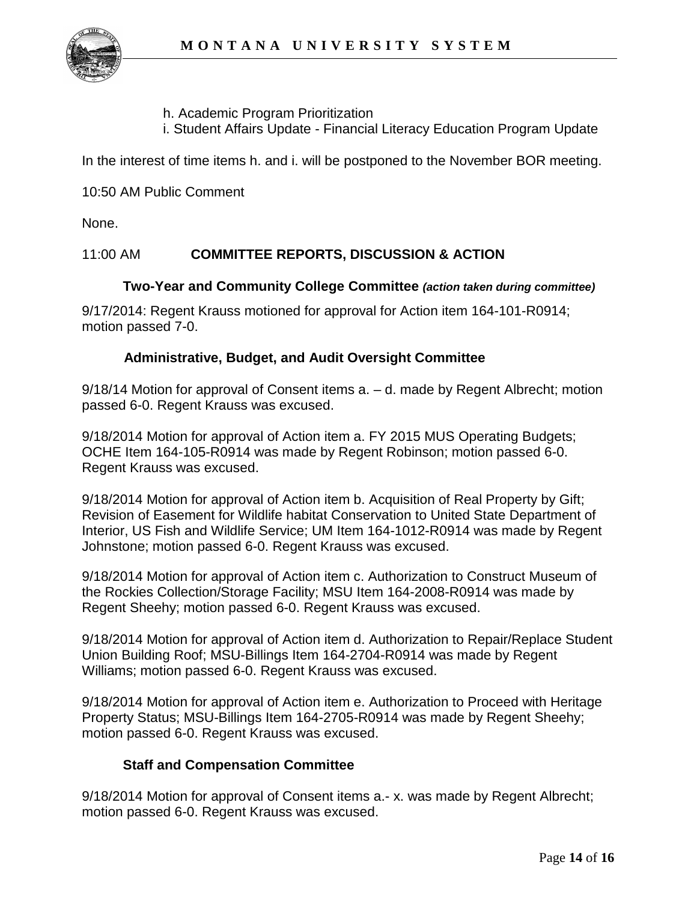

h. Academic Program Prioritization

i. Student Affairs Update - Financial Literacy Education Program Update

In the interest of time items h. and i. will be postponed to the November BOR meeting.

10:50 AM Public Comment

None.

## 11:00 AM **COMMITTEE REPORTS, DISCUSSION & ACTION**

#### **Two-Year and Community College Committee** *(action taken during committee)*

9/17/2014: Regent Krauss motioned for approval for Action item 164-101-R0914; motion passed 7-0.

#### **Administrative, Budget, and Audit Oversight Committee**

9/18/14 Motion for approval of Consent items a. – d. made by Regent Albrecht; motion passed 6-0. Regent Krauss was excused.

9/18/2014 Motion for approval of Action item a. FY 2015 MUS Operating Budgets; OCHE Item 164-105-R0914 was made by Regent Robinson; motion passed 6-0. Regent Krauss was excused.

9/18/2014 Motion for approval of Action item b. Acquisition of Real Property by Gift; Revision of Easement for Wildlife habitat Conservation to United State Department of Interior, US Fish and Wildlife Service; UM Item 164-1012-R0914 was made by Regent Johnstone; motion passed 6-0. Regent Krauss was excused.

9/18/2014 Motion for approval of Action item c. Authorization to Construct Museum of the Rockies Collection/Storage Facility; MSU Item 164-2008-R0914 was made by Regent Sheehy; motion passed 6-0. Regent Krauss was excused.

9/18/2014 Motion for approval of Action item d. Authorization to Repair/Replace Student Union Building Roof; MSU-Billings Item 164-2704-R0914 was made by Regent Williams; motion passed 6-0. Regent Krauss was excused.

9/18/2014 Motion for approval of Action item e. Authorization to Proceed with Heritage Property Status; MSU-Billings Item 164-2705-R0914 was made by Regent Sheehy; motion passed 6-0. Regent Krauss was excused.

## **Staff and Compensation Committee**

9/18/2014 Motion for approval of Consent items a.- x. was made by Regent Albrecht; motion passed 6-0. Regent Krauss was excused.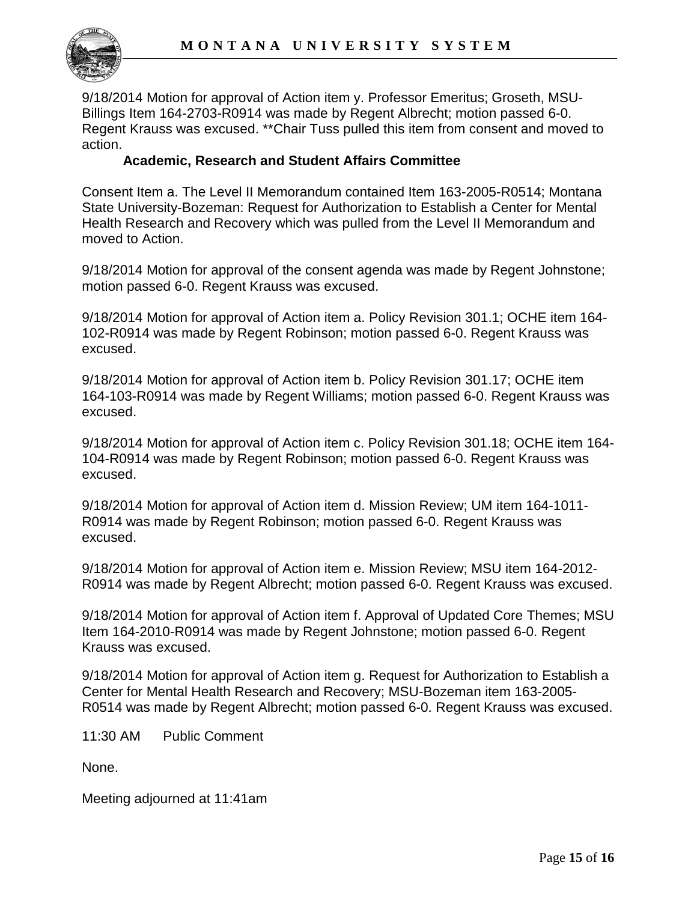

9/18/2014 Motion for approval of Action item y. Professor Emeritus; Groseth, MSU-Billings Item 164-2703-R0914 was made by Regent Albrecht; motion passed 6-0. Regent Krauss was excused. \*\*Chair Tuss pulled this item from consent and moved to action.

#### **Academic, Research and Student Affairs Committee**

Consent Item a. The Level II Memorandum contained Item 163-2005-R0514; Montana State University-Bozeman: Request for Authorization to Establish a Center for Mental Health Research and Recovery which was pulled from the Level II Memorandum and moved to Action.

9/18/2014 Motion for approval of the consent agenda was made by Regent Johnstone; motion passed 6-0. Regent Krauss was excused.

9/18/2014 Motion for approval of Action item a. Policy Revision 301.1; OCHE item 164- 102-R0914 was made by Regent Robinson; motion passed 6-0. Regent Krauss was excused.

9/18/2014 Motion for approval of Action item b. Policy Revision 301.17; OCHE item 164-103-R0914 was made by Regent Williams; motion passed 6-0. Regent Krauss was excused.

9/18/2014 Motion for approval of Action item c. Policy Revision 301.18; OCHE item 164- 104-R0914 was made by Regent Robinson; motion passed 6-0. Regent Krauss was excused.

9/18/2014 Motion for approval of Action item d. Mission Review; UM item 164-1011- R0914 was made by Regent Robinson; motion passed 6-0. Regent Krauss was excused.

9/18/2014 Motion for approval of Action item e. Mission Review; MSU item 164-2012- R0914 was made by Regent Albrecht; motion passed 6-0. Regent Krauss was excused.

9/18/2014 Motion for approval of Action item f. Approval of Updated Core Themes; MSU Item 164-2010-R0914 was made by Regent Johnstone; motion passed 6-0. Regent Krauss was excused.

9/18/2014 Motion for approval of Action item g. Request for Authorization to Establish a Center for Mental Health Research and Recovery; MSU-Bozeman item 163-2005- R0514 was made by Regent Albrecht; motion passed 6-0. Regent Krauss was excused.

11:30 AM Public Comment

None.

Meeting adjourned at 11:41am